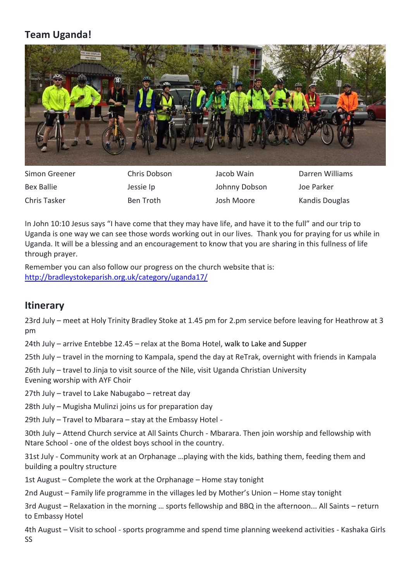## **Team Uganda!**



Simon Greener Chris Dobson Jacob Wain Darren Williams Bex Ballie **Gott Constructs** Jessie Ip **Johnny Dobson** Joe Parker Chris Tasker **Ben Troth** Josh Moore Kandis Douglas

In John 10:10 Jesus says "I have come that they may have life, and have it to the full" and our trip to Uganda is one way we can see those words working out in our lives. Thank you for praying for us while in Uganda. It will be a blessing and an encouragement to know that you are sharing in this fullness of life through prayer.

Remember you can also follow our progress on the church website that is: <http://bradleystokeparish.org.uk/category/uganda17/>

## **Itinerary**

23rd July – meet at Holy Trinity Bradley Stoke at 1.45 pm for 2.pm service before leaving for Heathrow at 3 pm

24th July – arrive Entebbe 12.45 – relax at the Boma Hotel, walk to Lake and Supper

25th July – travel in the morning to Kampala, spend the day at ReTrak, overnight with friends in Kampala

26th July – travel to Jinja to visit source of the Nile, visit Uganda Christian University Evening worship with AYF Choir

27th July – travel to Lake Nabugabo – retreat day

28th July – Mugisha Mulinzi joins us for preparation day

29th July – Travel to Mbarara – stay at the Embassy Hotel -

30th July – Attend Church service at All Saints Church - Mbarara. Then join worship and fellowship with Ntare School - one of the oldest boys school in the country.

31st July - Community work at an Orphanage …playing with the kids, bathing them, feeding them and building a poultry structure

1st August – Complete the work at the Orphanage – Home stay tonight

2nd August – Family life programme in the villages led by Mother's Union – Home stay tonight

3rd August – Relaxation in the morning … sports fellowship and BBQ in the afternoon... All Saints – return to Embassy Hotel

4th August – Visit to school - sports programme and spend time planning weekend activities - Kashaka Girls SS